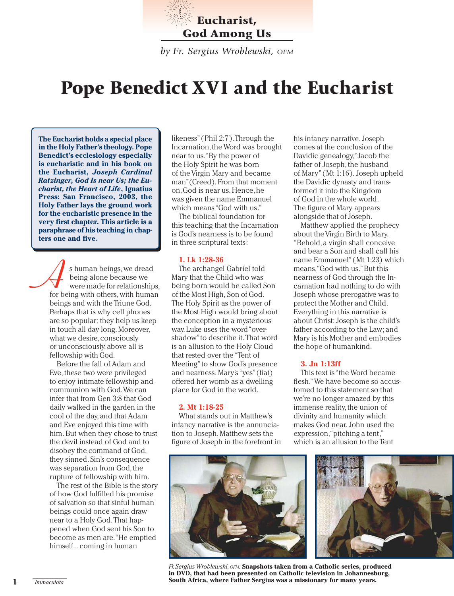

*by Fr. Sergius Wroblewski, OFM*

# **Pope Benedict XVI and the Eucharist**

**The Eucharist holds a special place in the Holy Father's theology. Pope Benedict's ecclesiology especially is eucharistic and in his book on the Eucharist,** *Joseph Cardinal Ratzinger, God Is near Us; the Eucharist, the Heart of Life***, Ignatius Press: San Francisco, 2003, the Holy Father lays the ground work for the eucharistic presence in the very first chapter. This article is a paraphrase of his teaching in chapters one and five.**

**A**s human beings, we dread<br>being alone because we<br>for being with others, with human being alone because we were made for relationships, beings and with the Triune God. Perhaps that is why cell phones are so popular; they help us keep in touch all day long. Moreover, what we desire, consciously or unconsciously, above all is fellowship with God.

Before the fall of Adam and Eve, these two were privileged to enjoy intimate fellowship and communion with God. We can infer that from Gen 3:8 that God daily walked in the garden in the cool of the day, and that Adam and Eve enjoyed this time with him. But when they chose to trust the devil instead of God and to disobey the command of God, they sinned. Sin's consequence was separation from God, the rupture of fellowship with him.

The rest of the Bible is the story of how God fulfilled his promise of salvation so that sinful human beings could once again draw near to a Holy God. That happened when God sent his Son to become as men are. "He emptied himself... coming in human

likeness" (Phil 2:7). Through the Incarnation, the Word was brought near to us. "By the power of the Holy Spirit he was born of the Virgin Mary and became man"(Creed). From that moment on, God is near us. Hence, he was given the name Emmanuel which means "God with us."

The biblical foundation for this teaching that the Incarnation is God's nearness is to be found in three scriptural texts:

#### **1. Lk 1:28-36**

The archangel Gabriel told Mary that the Child who was being born would be called Son of the Most High, Son of God. The Holy Spirit as the power of the Most High would bring about the conception in a mysterious way. Luke uses the word "overshadow" to describe it. That word is an allusion to the Holy Cloud that rested over the "Tent of Meeting" to show God's presence and nearness. Mary's "yes" (fiat) offered her womb as a dwelling place for God in the world.

#### **2. Mt 1:18-25**

What stands out in Matthew's infancy narrative is the annunciation to Joseph. Matthew sets the figure of Joseph in the forefront in his infancy narrative. Joseph comes at the conclusion of the Davidic genealogy, "Jacob the father of Joseph, the husband of Mary" (Mt 1:16). Joseph upheld the Davidic dynasty and transformed it into the Kingdom of God in the whole world. The figure of Mary appears alongside that of Joseph.

Matthew applied the prophecy about the Virgin Birth to Mary. "Behold, a virgin shall conceive and bear a Son and shall call his name Emmanuel" (Mt 1:23) which means, "God with us." But this nearness of God through the Incarnation had nothing to do with Joseph whose prerogative was to protect the Mother and Child. Everything in this narrative is about Christ: Joseph is the child's father according to the Law; and Mary is his Mother and embodies the hope of humankind.

## **3. Jn 1:13ff**

This text is "the Word became flesh." We have become so accustomed to this statement so that we're no longer amazed by this immense reality, the union of divinity and humanity which makes God near. John used the expression, "pitching a tent," which is an allusion to the Tent



*Fr. Sergius Wroblewski, OFM:* **Snapshots taken from a Catholic series, produced in DVD, that had been presented on Catholic television in Johannesburg, South Africa, where Father Sergius was a missionary for many years. 1** *Immaculata*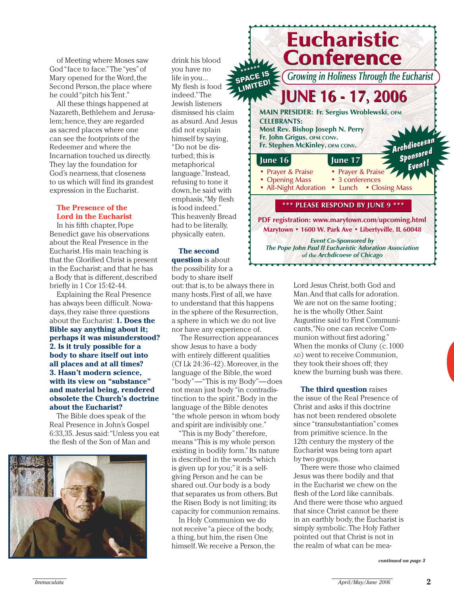of Meeting where Moses saw God "face to face." The "yes" of Mary opened for the Word, the Second Person, the place where he could "pitch his Tent."

All these things happened at Nazareth, Bethlehem and Jerusalem; hence, they are regarded as sacred places where one can see the footprints of the Redeemer and where the Incarnation touched us directly. They lay the foundation for God's nearness, that closeness to us which will find its grandest expression in the Eucharist.

# **The Presence of the Lord in the Eucharist**

In his fifth chapter, Pope Benedict gave his observations about the Real Presence in the Eucharist. His main teaching is that the Glorified Christ is present in the Eucharist; and that he has a Body that is different, described briefly in 1 Cor 15:42-44.

Explaining the Real Presence has always been difficult. Nowadays, they raise three questions about the Eucharist: **1. Does the Bible say anything about it; perhaps it was misunderstood? 2. Is it truly possible for a body to share itself out into all places and at all times? 3. Hasn't modern science, with its view on "substance" and material being, rendered obsolete the Church's doctrine about the Eucharist?**

The Bible does speak of the Real Presence in John's Gospel 6:33,35. Jesus said: "Unless you eat the flesh of the Son of Man and



drink his blood you have no life in you... My flesh is food indeed." The Jewish listeners dismissed his claim as absurd. And Jesus did not explain himself by saying, "Do not be disturbed; this is metaphorical language."Instead, refusing to tone it down, he said with emphasis, "My flesh is food indeed." This heavenly Bread had to be literally, physically eaten.

## **The second**

**question** is about the possibility for a body to share itself

out: that is, to be always there in many hosts. First of all, we have to understand that this happens in the sphere of the Resurrection, a sphere in which we do not live nor have any experience of.

The Resurrection appearances show Jesus to have a body with entirely different qualities (Cf Lk 24:36-42). Moreover, in the language of the Bible, the word "body"—"This is my Body"—does not mean just body "in contradistinction to the spirit." Body in the language of the Bible denotes "the whole person in whom body and spirit are indivisibly one."

"This is my Body" therefore, means "This is my whole person existing in bodily form." Its nature is described in the words "which is given up for you;" it is a selfgiving Person and he can be shared out. Our body is a body that separates us from others. But the Risen Body is not limiting; its capacity for communion remains.

In Holy Communion we do not receive "a piece of the body, a thing, but him, the risen One himself. We receive a Person, the



Lord Jesus Christ, both God and Man. And that calls for adoration. We are not on the same footing; he is the wholly Other. Saint Augustine said to First Communicants, "No one can receive Communion without first adoring." When the monks of Cluny (c. 1000 AD) went to receive Communion, they took their shoes off; they knew the burning bush was there.

**The third question** raises the issue of the Real Presence of Christ and asks if this doctrine has not been rendered obsolete since "transubstantiation" comes from primitive science. In the 12th century the mystery of the Eucharist was being torn apart by two groups.

There were those who claimed Jesus was there bodily and that in the Eucharist we chew on the flesh of the Lord like cannibals. And there were those who argued that since Christ cannot be there in an earthly body, the Eucharist is simply symbolic. The Holy Father pointed out that Christ is not in the realm of what can be mea-

*continued on page 3*